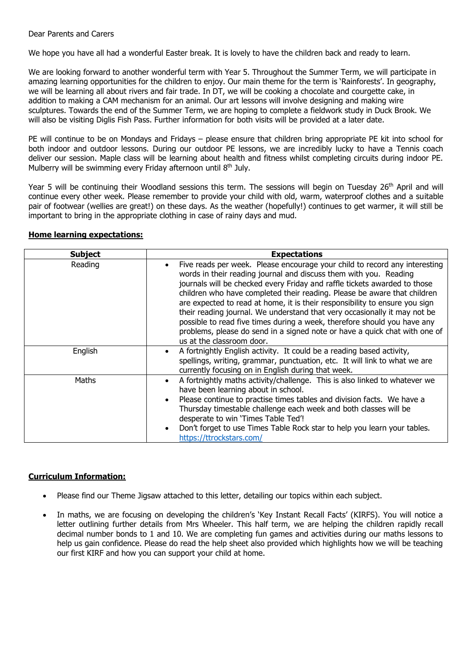We hope you have all had a wonderful Easter break. It is lovely to have the children back and ready to learn.

We are looking forward to another wonderful term with Year 5. Throughout the Summer Term, we will participate in amazing learning opportunities for the children to enjoy. Our main theme for the term is 'Rainforests'. In geography, we will be learning all about rivers and fair trade. In DT, we will be cooking a chocolate and courgette cake, in addition to making a CAM mechanism for an animal. Our art lessons will involve designing and making wire sculptures. Towards the end of the Summer Term, we are hoping to complete a fieldwork study in Duck Brook. We will also be visiting Diglis Fish Pass. Further information for both visits will be provided at a later date.

PE will continue to be on Mondays and Fridays – please ensure that children bring appropriate PE kit into school for both indoor and outdoor lessons. During our outdoor PE lessons, we are incredibly lucky to have a Tennis coach deliver our session. Maple class will be learning about health and fitness whilst completing circuits during indoor PE. Mulberry will be swimming every Friday afternoon until 8<sup>th</sup> July.

Year 5 will be continuing their Woodland sessions this term. The sessions will begin on Tuesday 26<sup>th</sup> April and will continue every other week. Please remember to provide your child with old, warm, waterproof clothes and a suitable pair of footwear (wellies are great!) on these days. As the weather (hopefully!) continues to get warmer, it will still be important to bring in the appropriate clothing in case of rainy days and mud.

## **Home learning expectations:**

| <b>Subject</b> | <b>Expectations</b>                                                                                                                                                                                                                                                                                                                                                                                                                                                                                                                                                                                                                                         |
|----------------|-------------------------------------------------------------------------------------------------------------------------------------------------------------------------------------------------------------------------------------------------------------------------------------------------------------------------------------------------------------------------------------------------------------------------------------------------------------------------------------------------------------------------------------------------------------------------------------------------------------------------------------------------------------|
| Reading        | Five reads per week. Please encourage your child to record any interesting<br>words in their reading journal and discuss them with you. Reading<br>journals will be checked every Friday and raffle tickets awarded to those<br>children who have completed their reading. Please be aware that children<br>are expected to read at home, it is their responsibility to ensure you sign<br>their reading journal. We understand that very occasionally it may not be<br>possible to read five times during a week, therefore should you have any<br>problems, please do send in a signed note or have a quick chat with one of<br>us at the classroom door. |
| English        | A fortnightly English activity. It could be a reading based activity,<br>spellings, writing, grammar, punctuation, etc. It will link to what we are<br>currently focusing on in English during that week.                                                                                                                                                                                                                                                                                                                                                                                                                                                   |
| Maths          | A fortnightly maths activity/challenge. This is also linked to whatever we<br>have been learning about in school.<br>Please continue to practise times tables and division facts. We have a<br>Thursday timestable challenge each week and both classes will be<br>desperate to win 'Times Table Ted'!<br>Don't forget to use Times Table Rock star to help you learn your tables.<br>https://ttrockstars.com/                                                                                                                                                                                                                                              |

## **Curriculum Information:**

- Please find our Theme Jigsaw attached to this letter, detailing our topics within each subject.
- In maths, we are focusing on developing the children's 'Key Instant Recall Facts' (KIRFS). You will notice a letter outlining further details from Mrs Wheeler. This half term, we are helping the children rapidly recall decimal number bonds to 1 and 10. We are completing fun games and activities during our maths lessons to help us gain confidence. Please do read the help sheet also provided which highlights how we will be teaching our first KIRF and how you can support your child at home.